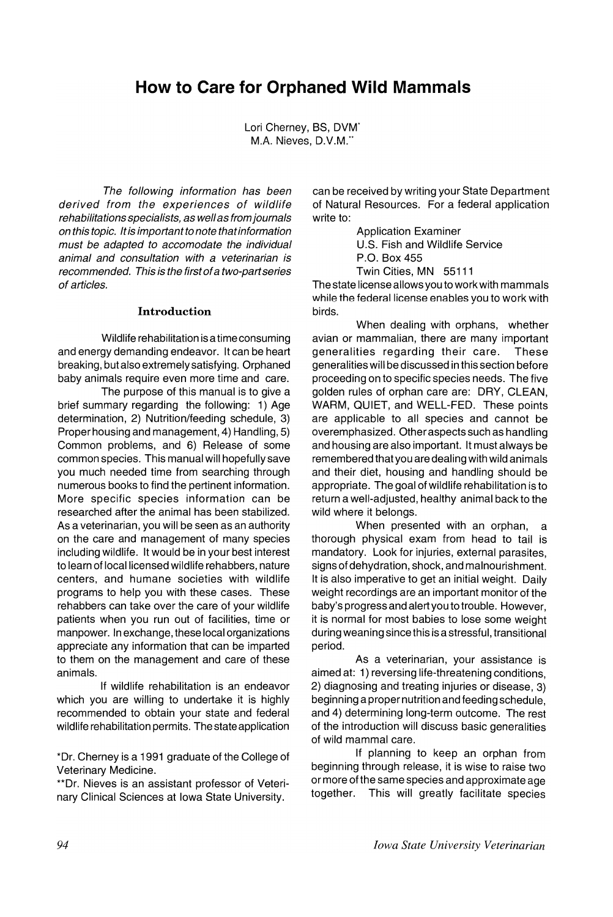# **How to Care for Orphaned Wild Mammals**

Lori Cherney, BS, DVM<sup>\*</sup> M.A. Nieves, D.V.M."

The following information has been derived from the experiences of wildlife rehabilitations specialists, as wellas from journals on this topic. *It*is important to note thatinformation must be adapted to accomodate the individual animal and consultation with a veterinarian is recommended. This is the first ofa two-partseries of articles.

#### Introduction

Wildlife rehabilitation is a time consuming and energy demanding endeavor. It can be heart breaking, but also extremely satisfying. Orphaned baby animals require even more time and care.

The purpose of this manual is to give a brief summary regarding the following: 1) Age determination, 2) Nutrition/feeding schedule, 3) Proper housing and management, 4) Handling, 5) Common problems, and 6) Release of some common species. This manual will hopefully save you much needed time from searching through numerous books to find the pertinent information. More specific species information can be researched after the animal has been stabilized. As a veterinarian, you will be seen as an authority on the care and management of many species including wildlife. It would be in your best interest to learn of local licensed wildlife rehabbers, nature centers, and humane societies with wildlife programs to help you with these cases. These rehabbers can take over the care of your wildlife patients when you run out of facilities, time or manpower. In exchange, these local organizations appreciate any information that can be imparted to them on the management and care of these animals.

If wildlife rehabilitation is an endeavor which you are willing to undertake it is highly recommended to obtain your state and federal wildlife rehabilitation permits. The state application

\*Dr. Cherney is a 1991 graduate of the College of Veterinary Medicine.

\*\*Dr. Nieves is an assistant professor of Veterinary Clinical Sciences at Iowa State University.

can be received by writing your State Department of Natural Resources. For a federal application write to:

> Application Examiner U.S. Fish and Wildlife Service P.O. Box 455 Twin Cities, MN 55111

The state license allows you to work with mammals while the federal license enables you to work with birds.

When dealing with orphans, whether avian or mammalian, there are many important generalities regarding their care. These generalities will be discussed in this section before proceeding on to specific species needs. The five golden rules of orphan care are: DRY, CLEAN, WARM, QUIET, and WELL-FED. These points are applicable to all species and cannot be overemphasized. Other aspects such as handling and housing are also important. It must always be remembered that you are dealing with wild animals and their diet, housing and handling should be appropriate. The goal of wildlife rehabilitation is to return a well-adjusted, healthy animal back to the wild where it belongs.

When presented with an orphan, a thorough physical exam from head to tail is mandatory. Look for injuries, external parasites, signs of dehydration, shock, and malnourishment. It is also imperative to get an initial weight. Daily weight recordings are an important monitor of the baby's progress and alert you to trouble. However, it is normal for most babies to lose some weight during weaning since this is a stressful, transitional period.

As a veterinarian, your assistance is aimed at: 1) reversing life-threatening conditions, 2) diagnosing and treating injuries or disease, 3) beginning a proper nutrition and feeding schedule, and 4) determining long-term outcome. The rest of the introduction will discuss basic generalities of wild mammal care.

If planning to keep an orphan from beginning through release, it is wise to raise two or more of the same species and approximate age together. This will greatly facilitate species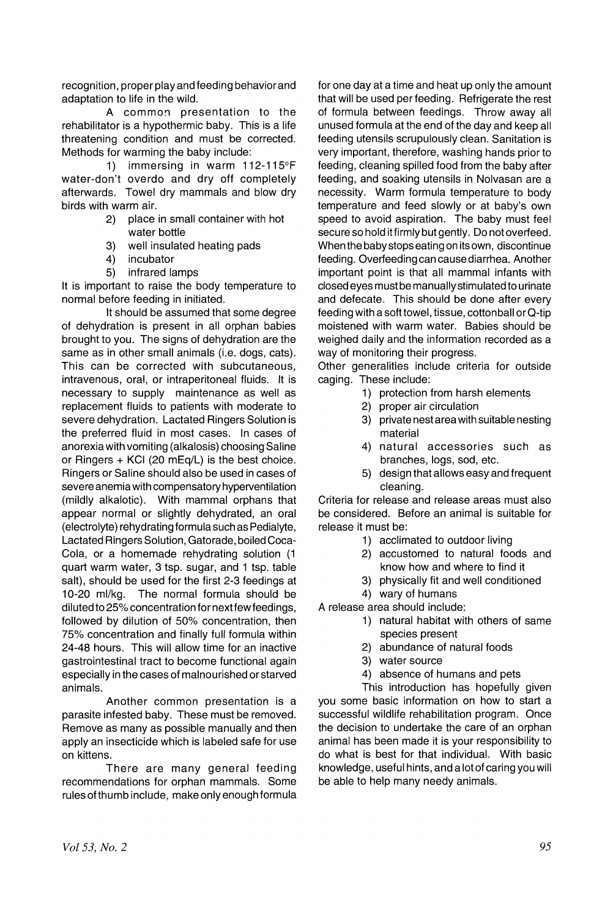recognition, proper play and feeding behavior and adaptation to life in the wild.

A common presentation to the rehabilitator is a hypothermic baby. This is a life threatening condition and must be corrected. Methods for warming the baby include:

1) immersing in warm 112-115°F water-don't overdo and dry off completely afterwards. Towel dry mammals and blow dry birds with warm air.

- 2) place in small container with hot water bottle
- 3) well insulated heating pads
- 4) incubator
- 5) infrared lamps

It is important to raise the body temperature to normal before feeding in initiated.

It should be assumed that some degree of dehydration is present in all orphan babies brought to you. The signs of dehydration are the same as in other small animals (i.e. dogs, cats). This can be corrected with subcutaneous, intravenous, oral, or intraperitoneal fluids. It is necessary to supply maintenance as well as replacement fluids to patients with moderate to severe dehydration. Lactated Ringers Solution is the preferred fluid in most cases. In cases of anorexia with vomiting (alkalosis) choosing Saline or Ringers + KCI (20 mEq/L) is the best choice. Ringers or Saline should also be used in cases of severe anemia with compensatory hyperventilation (mildly alkalotic). With mammal orphans that appear normal or slightly dehydrated, an oral (electrolyte) rehydrating formula such as Pedialyte, Lactated Ringers Solution, Gatorade, boiled Coca-Cola, or a homemade rehydrating solution (1 quart warm water, 3 tsp. sugar, and 1 tsp. table salt), should be used for the first 2-3 feedings at 10-20 ml/kg. The normal formula should be diluted to 25% concentration for next few feedings, followed by dilution of 50% concentration, then 75% concentration and finally full formula within 24-48 hours. This will allow time for an inactive gastrointestinal tract to become functional again especially in the cases of malnourished or starved animals.

Another common presentation is a parasite infested baby. These must be removed. Remove as many as possible manually and then apply an insecticide which is labeled safe for use on kittens.

There are many general feeding recommendations for orphan mammals. Some rules of thumb include, make only enough formula

for one day at a time and heat up only the amount that will be used per feeding. Refrigerate the rest of formula between feedings. Throw away all unused formula at the end of the day and keep all feeding utensils scrupulously clean. Sanitation is very important, therefore, washing hands prior to feeding, cleaning spilled food from the baby after feeding, and soaking utensils in Nolvasan are a necessity. Warm formula temperature to body temperature and feed slowly or at baby's own speed to avoid aspiration. The baby must feel secure so hold itfirmly but gently. Do not overfeed. When the baby stops eating on its own, discontinue feeding. Overfeeding can cause diarrhea. Another important point is that all mammal infants with closed eyes must be manually stimulated to urinate and defecate. This should be done after every feeding with a soft towel, tissue, cottonball or Q-tip moistened with warm water. Babies should be weighed daiiy and the information recorded as a way of monitoring their progress.

Other generalities include criteria for outside caging. These include:

- 1) protection from harsh elements
- 2) proper air circulation
- 3) private nest area with suitable nesting material
- 4) natural accessories such as branches, logs, sod, etc.
- 5) design that allows easy and frequent cleaning.

Criteria for release and release areas must also be considered. Before an animal is suitable for release it must be:

- 1) acclimated to outdoor living
- 2) accustomed to natural foods and know how and where to find it
- 3) physically fit and well conditioned

4) wary of humans

- A release area should include:
	- 1) natural habitat with others of same species present
	- 2) abundance of natural foods
	- 3) water source
	- 4) absence of humans and pets

This introduction has hopefully given you some basic information on how to start a successful wildlife rehabilitation program. Once the decision to undertake the care of an orphan animal has been made it is your responsibility to do what is best for that individual. With basic knowledge, useful hints, and a lot of caring you will be able to help many needy animals.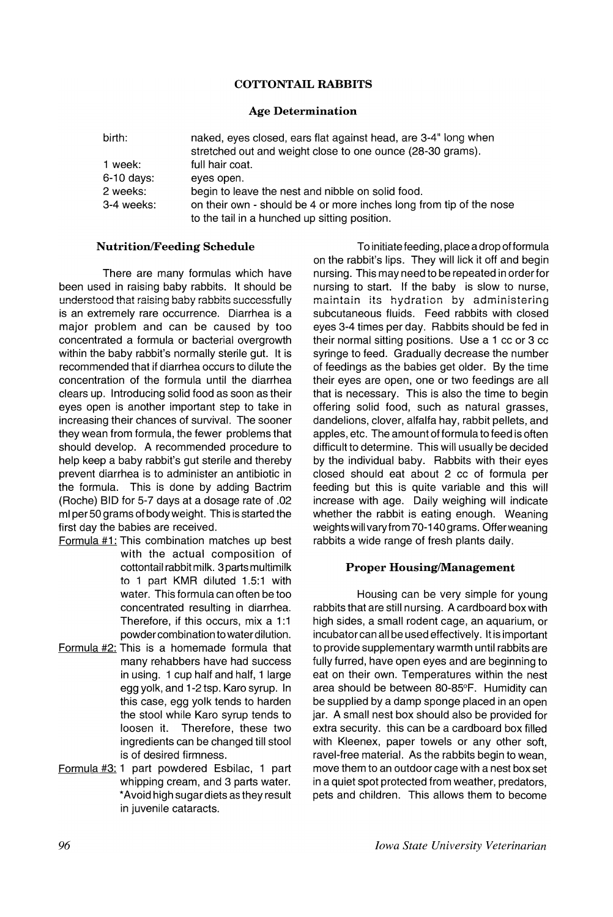# COTTONTAIL RABBITS

# Age Determination

| birth:       | naked, eyes closed, ears flat against head, are 3-4" long when<br>stretched out and weight close to one ounce (28-30 grams). |  |
|--------------|------------------------------------------------------------------------------------------------------------------------------|--|
| 1 week:      | full hair coat.                                                                                                              |  |
| $6-10$ days: | eves open.                                                                                                                   |  |
| 2 weeks:     | begin to leave the nest and nibble on solid food.                                                                            |  |
| 3-4 weeks:   | on their own - should be 4 or more inches long from tip of the nose                                                          |  |
|              | to the tail in a hunched up sitting position.                                                                                |  |

#### Nutrition/Feeding Schedule

There are many formulas which have been used in raising baby rabbits. It should be  $u$ nderstood that raising baby rabbits successfully is an extremely rare occurrence. Diarrhea is a major problem and can be caused by too concentrated a formula or bacterial overgrowth within the baby rabbit's normally sterile gut. It is recommended that if diarrhea occurs to dilute the concentration of the formula until the diarrhea clears up. Introducing solid food as soon as their eyes open is another important step to take in increasing their chances of survival. The sooner they wean from formula, the fewer problems that should develop. A recommended procedure to help keep a baby rabbit's gut sterile and thereby prevent diarrhea is to administer an antibiotic in the formula. This is done by adding Bactrim (Roche) BID for 5-7 days at a dosage rate of .02 ml per 50 grams of body weight. This is started the first day the babies are received.

- Formula  $#1$ : This combination matches up best with the actual composition of cottontail rabbit milk. 3parts multimilk to 1 part KMR diluted 1.5:1 with water. This formula can often be too concentrated resulting in diarrhea. Therefore, if this occurs, mix a 1:1 powder combination to water dilution.
- Formula #2: This is a homemade formula that many rehabbers have had success in using. 1 cup half and half, 1 large egg yolk, and 1-2 tsp. Karo syrup. In this case, egg yolk tends to harden the stool while Karo syrup tends to loosen it. Therefore, these two ingredients can be changed till stool is of desired firmness.
- Formula #3: 1 part powdered Esbilac, 1 part whipping cream, and 3 parts water. \*Avoid high sugar diets as they result in juvenile cataracts.

To initiate feeding, place a drop of formula on the rabbit's lips. They will lick it off and begin nursing. This may need to be repeated in orderfor nursing to start. If the baby is slow to nurse, maintain its hydration by administering subcutaneous fluids. Feed rabbits with closed eyes 3-4 times per day. Rabbits should be fed in their normal sitting positions. Use a 1 cc or 3 cc syringe to feed. Gradually decrease the number of feedings as the babies get older. By the time their eyes are open, one or two feedings are all that is necessary. This is also the time to begin offering solid food, such as natural grasses, dandelions, clover, alfalfa hay, rabbit pellets, and apples, etc. The amount of formula to feed is often difficult to determine. This will usually be decided by the individual baby. Rabbits with their eyes closed should eat about 2 cc of formula per feeding but this is quite variable and this will increase with age. Daily weighing will indicate whether the rabbit is eating enough. Weaning weights will vary'from 70-140 grams. Offerweaning rabbits a wide range of fresh plants daily.

## Proper Housing/Management

Housing can be very simple for young rabbits that are still nursing. A cardboard box with high sides, a small rodent cage, an aquarium, or incubatorcan all be used effectively. It is important to provide supplementary warmth until rabbits are fully furred, have open eyes and are beginning to eat on their own. Temperatures within the nest area should be between 80-85°F. Humidity can be supplied by a damp sponge placed in an open jar. A small nest box should also be provided for extra security. this can be a cardboard box filled with Kleenex, paper towels or any other soft, ravel-free material. As the rabbits begin to wean, move them to an outdoor cage with a nest box set in a quiet spot protected from weather, predators, pets and children. This allows them to become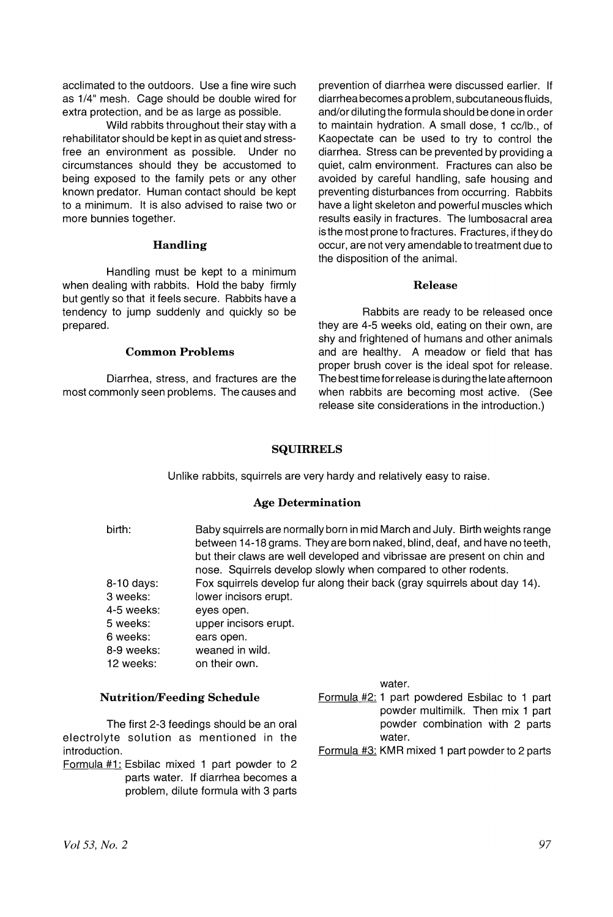acclimated to the outdoors. Use a fine wire such as 1/4" mesh. Cage should be double wired for extra protection, and be as large as possible.

Wild rabbits throughout their stay with a rehabilitator should be kept in as quiet and stressfree an environment as possible. Under no circumstances should they be accustomed to being exposed to the family pets or any other known predator. Human contact should be kept to a minimum. It is also advised to raise two or more bunnies together.

#### Handling

Handling must be kept to a minimum when dealing with rabbits. Hold the baby firmly but gently so that it feels secure. Rabbits have a tendency to jump suddenly and quickly so be prepared.

#### Common Problems

Diarrhea, stress, and fractures are the most commonly seen problems. The causes and prevention of diarrhea were discussed earlier. If diarrhea becomes a problem, subcutaneous fluids, and/or diluting the formula should be done in order to maintain hydration. A small dose, 1 cc/lb., of Kaopectate can be used to try to control the diarrhea. Stress can be prevented by providing a quiet, calm environment. Fractures can also be avoided by careful handling, safe housing and preventing disturbances from occurring. Rabbits have a light skeleton and powerful muscles which results easily in fractures. The lumbosacral area is the most prone to fractures. Fractures, if they do occur, are not very amendable to treatment due to the disposition of the animal.

## Release

Rabbits are ready to be released once they are 4-5 weeks old, eating on their own, are shy and frightened of humans and other animals and are healthy. A meadow or field that has proper brush cover is the ideal spot for release. The best time for release is during the late afternoon when rabbits are becoming most active. (See release site considerations in the introduction.)

## SQUIRRELS

Unlike rabbits, squirrels are very hardy and relatively easy to raise.

## Age Determination

birth: 8-10 days: 3 weeks: 4-5 weeks: 5 weeks: 6 weeks: 8-9 weeks: 12 weeks: Baby squirrels are normally born in mid March and July. Birth weights range between 14-18 grams. They are born naked, blind, deaf, and have no teeth, but their claws are well developed and vibrissae are present on chin and nose. Squirrels develop slowly when compared to other rodents. Fox squirrels develop fur along their back (gray squirrels about day 14). lower incisors erupt. eyes open. upper incisors erupt. ears open. weaned in wild. on their own.

## Nutrition/Feeding Schedule

The first 2-3 feedings should be an oral electrolyte solution as mentioned in the introduction.

Formula #1: Esbilac mixed 1 part powder to 2 parts water. If diarrhea becomes a problem, dilute formula with 3 parts water.

- Formula #2: 1 part powdered Esbilac to 1 part powder multimilk. Then mix 1 part powder combination with 2 parts water.
- Formula #3: KMR mixed 1 part powder to 2 parts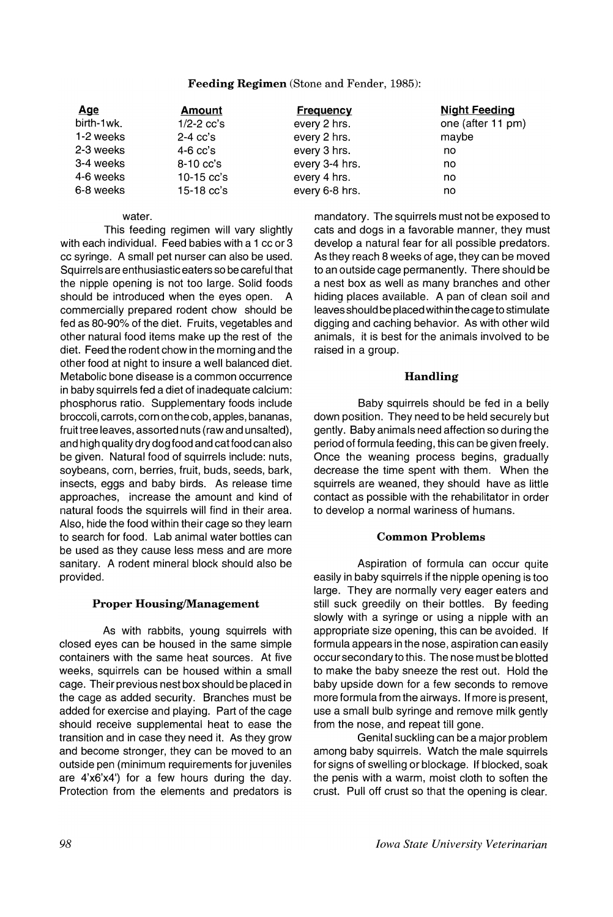# Feeding Regimen (Stone and Fender, 1985):

| <u>Age</u> | Amount         | <b>Frequency</b> | <b>Night Feeding</b> |
|------------|----------------|------------------|----------------------|
| birth-1wk. | $1/2 - 2$ cc's | every 2 hrs.     | one (after 11 pm)    |
| 1-2 weeks  | $2-4$ cc's     | every 2 hrs.     | maybe                |
| 2-3 weeks  | $4-6$ cc's     | every 3 hrs.     | no                   |
| 3-4 weeks  | $8-10$ cc's    | every 3-4 hrs.   | no                   |
| 4-6 weeks  | $10-15$ cc's   | every 4 hrs.     | no                   |
| 6-8 weeks  | $15-18$ $cc's$ | every 6-8 hrs.   | no                   |

#### water.

This feeding regimen will vary slightly with each individual. Feed babies with a 1 cc or 3 cc syringe. A small pet nurser can also be used. Squirrels are enthusiastic eaters so be careful that the nipple opening is not too large. Solid foods should be introduced when the eyes open. A commercially prepared rodent chow should be fed as 80-90% of the diet. Fruits, vegetables and other natural food items make up the rest of the diet. Feed the rodent chow in the morning and the other food at night to insure a well balanced diet. Metabolic bone disease is a common occurrence in baby squirrels fed a diet of inadequate calcium: phosphorus ratio. Supplementary foods include broccoli, carrots, corn on the cob, apples, bananas, fruit tree leaves, assorted nuts (raw and unsalted), and high quality dry dog food and cat food can also be given. Natural food of squirrels include: nuts, soybeans, corn, berries, fruit, buds, seeds, bark, insects, eggs and baby birds. As release time approaches, increase the amount and kind of natural foods the squirrels will find in their area. Also, hide the food within their cage so they learn to search for food. Lab animal water bottles can be used as they cause less mess and are more sanitary. A rodent mineral block should also be provided.

## Proper Housing/Management

As with rabbits, young squirrels with closed eyes can be housed in the same simple containers with the same heat sources. At five weeks, squirrels can be housed within a small cage. Their previous nest box should be placed in the cage as added security. Branches must be added for exercise and playing. Part of the cage should receive supplemental heat to ease the transition and in case they need it. As they grow and become stronger, they can be moved to an outside pen (minimum requirements for juveniles are 4'x6'x41 ) for a few hours during the day. Protection from the elements and predators is

mandatory. The squirrels must not be exposed to cats and dogs in a favorable manner, they must develop a natural fear for all possible predators. As they reach 8 weeks of age, they can be moved to an outside cage permanently. There should be a nest box as well as many branches and other hiding places available. A pan of clean soil and leaves should be placed within the cage to stimulate digging and caching behavior. As with other wild animals, it is best for the animals involved to be raised in a group.

# Handling

Baby squirrels should be fed in a belly down position. They need to be held securely but gently. Baby animals need affection so during the period of formula feeding, this can be given freely. Once the weaning process begins, gradually decrease the time spent with them. When the squirrels are weaned, they should have as little contact as possible with the rehabilitator in order to develop a normal wariness of humans.

## Common Problems

Aspiration of formula can occur quite easily in baby squirrels if the nipple opening is too large. They are normally very eager eaters and still suck greedily on their bottles. By feeding slowly with a syringe or using a nipple with an appropriate size opening, this can be avoided. If formula appears in the nose, aspiration can easily occur secondary to this. The nose must be blotted to make the baby sneeze the rest out. Hold the baby upside down for a few seconds to remove more formula from the airways. If more is present, use a small bulb syringe and remove milk gently from the nose, and repeat till gone.

Genital suckling can be a major problem among baby squirrels. Watch the male squirrels for signs of swelling or blockage. If blocked, soak the penis with a warm, moist cloth to soften the crust. Pull off crust so that the opening is clear.